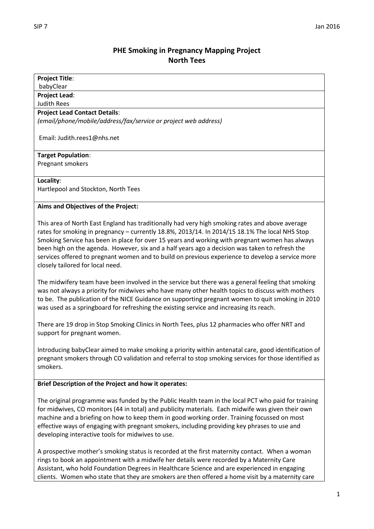## **PHE Smoking in Pregnancy Mapping Project North Tees**

| <b>Project Title:</b><br>babyClear                                                                                                                                                                                                                                                                                                                                                                                                                                                                                                            |
|-----------------------------------------------------------------------------------------------------------------------------------------------------------------------------------------------------------------------------------------------------------------------------------------------------------------------------------------------------------------------------------------------------------------------------------------------------------------------------------------------------------------------------------------------|
| <b>Project Lead:</b><br><b>Judith Rees</b>                                                                                                                                                                                                                                                                                                                                                                                                                                                                                                    |
| <b>Project Lead Contact Details:</b>                                                                                                                                                                                                                                                                                                                                                                                                                                                                                                          |
| (email/phone/mobile/address/fax/service or project web address)                                                                                                                                                                                                                                                                                                                                                                                                                                                                               |
| Email: Judith.rees1@nhs.net                                                                                                                                                                                                                                                                                                                                                                                                                                                                                                                   |
| <b>Target Population:</b>                                                                                                                                                                                                                                                                                                                                                                                                                                                                                                                     |
| Pregnant smokers                                                                                                                                                                                                                                                                                                                                                                                                                                                                                                                              |
| Locality:                                                                                                                                                                                                                                                                                                                                                                                                                                                                                                                                     |
| Hartlepool and Stockton, North Tees                                                                                                                                                                                                                                                                                                                                                                                                                                                                                                           |
| Aims and Objectives of the Project:                                                                                                                                                                                                                                                                                                                                                                                                                                                                                                           |
| This area of North East England has traditionally had very high smoking rates and above average<br>rates for smoking in pregnancy - currently 18.8%, 2013/14. In 2014/15 18.1% The local NHS Stop<br>Smoking Service has been in place for over 15 years and working with pregnant women has always<br>been high on the agenda. However, six and a half years ago a decision was taken to refresh the<br>services offered to pregnant women and to build on previous experience to develop a service more<br>closely tailored for local need. |
| The midwifery team have been involved in the service but there was a general feeling that smoking<br>was not always a priority for midwives who have many other health topics to discuss with mothers<br>to be. The publication of the NICE Guidance on supporting pregnant women to quit smoking in 2010<br>was used as a springboard for refreshing the existing service and increasing its reach.                                                                                                                                          |
| There are 19 drop in Stop Smoking Clinics in North Tees, plus 12 pharmacies who offer NRT and<br>support for pregnant women.                                                                                                                                                                                                                                                                                                                                                                                                                  |
| Introducing babyClear aimed to make smoking a priority within antenatal care, good identification of<br>pregnant smokers through CO validation and referral to stop smoking services for those identified as<br>smokers.                                                                                                                                                                                                                                                                                                                      |
| <b>Brief Description of the Project and how it operates:</b>                                                                                                                                                                                                                                                                                                                                                                                                                                                                                  |
| The original programme was funded by the Public Health team in the local PCT who paid for training<br>for midwives, CO monitors (44 in total) and publicity materials. Each midwife was given their own<br>machine and a briefing on how to keep them in good working order. Training focussed on most<br>effective ways of engaging with pregnant smokers, including providing key phrases to use and<br>developing interactive tools for midwives to use.                                                                                   |
| A prospective mother's smoking status is recorded at the first maternity contact. When a woman<br>rings to book an appointment with a midwife her details were recorded by a Maternity Care<br>Assistant, who hold Foundation Degrees in Healthcare Science and are experienced in engaging<br>clients. Women who state that they are smokers are then offered a home visit by a maternity care                                                                                                                                               |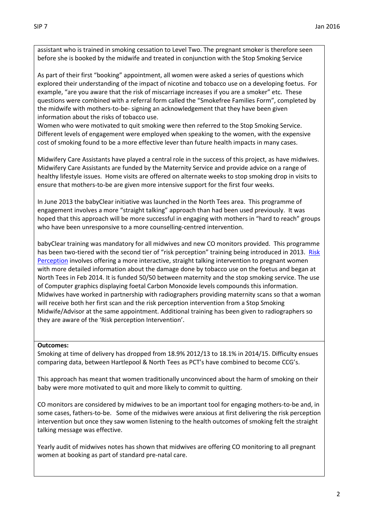assistant who is trained in smoking cessation to Level Two. The pregnant smoker is therefore seen before she is booked by the midwife and treated in conjunction with the Stop Smoking Service

As part of their first "booking" appointment, all women were asked a series of questions which explored their understanding of the impact of nicotine and tobacco use on a developing foetus. For example, "are you aware that the risk of miscarriage increases if you are a smoker" etc. These questions were combined with a referral form called the "Smokefree Families Form", completed by the midwife with mothers-to-be- signing an acknowledgement that they have been given information about the risks of tobacco use.

Women who were motivated to quit smoking were then referred to the Stop Smoking Service. Different levels of engagement were employed when speaking to the women, with the expensive cost of smoking found to be a more effective lever than future health impacts in many cases.

Midwifery Care Assistants have played a central role in the success of this project, as have midwives. Midwifery Care Assistants are funded by the Maternity Service and provide advice on a range of healthy lifestyle issues. Home visits are offered on alternate weeks to stop smoking drop in visits to ensure that mothers-to-be are given more intensive support for the first four weeks.

In June 2013 the babyClear initiative was launched in the North Tees area. This programme of engagement involves a more "straight talking" approach than had been used previously. It was hoped that this approach will be more successful in engaging with mothers in "hard to reach" groups who have been unresponsive to a more counselling-centred intervention.

babyClear training was mandatory for all midwives and new CO monitors provided. This programme has been two-tiered with the second tier of "risk perception" training being introduced in 2013. Risk [Perception](http://www.magonlinelibrary.com/doi/10.12968/bjom.2012.20.4.236) involves offering a more interactive, straight talking intervention to pregnant women with more detailed information about the damage done by tobacco use on the foetus and began at North Tees in Feb 2014. It is funded 50/50 between maternity and the stop smoking service. The use of Computer graphics displaying foetal Carbon Monoxide levels compounds this information. Midwives have worked in partnership with radiographers providing maternity scans so that a woman will receive both her first scan and the risk perception intervention from a Stop Smoking Midwife/Advisor at the same appointment. Additional training has been given to radiographers so they are aware of the 'Risk perception Intervention'.

## **Outcomes:**

Smoking at time of delivery has dropped from 18.9% 2012/13 to 18.1% in 2014/15. Difficulty ensues comparing data, between Hartlepool & North Tees as PCT's have combined to become CCG's.

This approach has meant that women traditionally unconvinced about the harm of smoking on their baby were more motivated to quit and more likely to commit to quitting.

CO monitors are considered by midwives to be an important tool for engaging mothers-to-be and, in some cases, fathers-to-be. Some of the midwives were anxious at first delivering the risk perception intervention but once they saw women listening to the health outcomes of smoking felt the straight talking message was effective.

Yearly audit of midwives notes has shown that midwives are offering CO monitoring to all pregnant women at booking as part of standard pre-natal care.